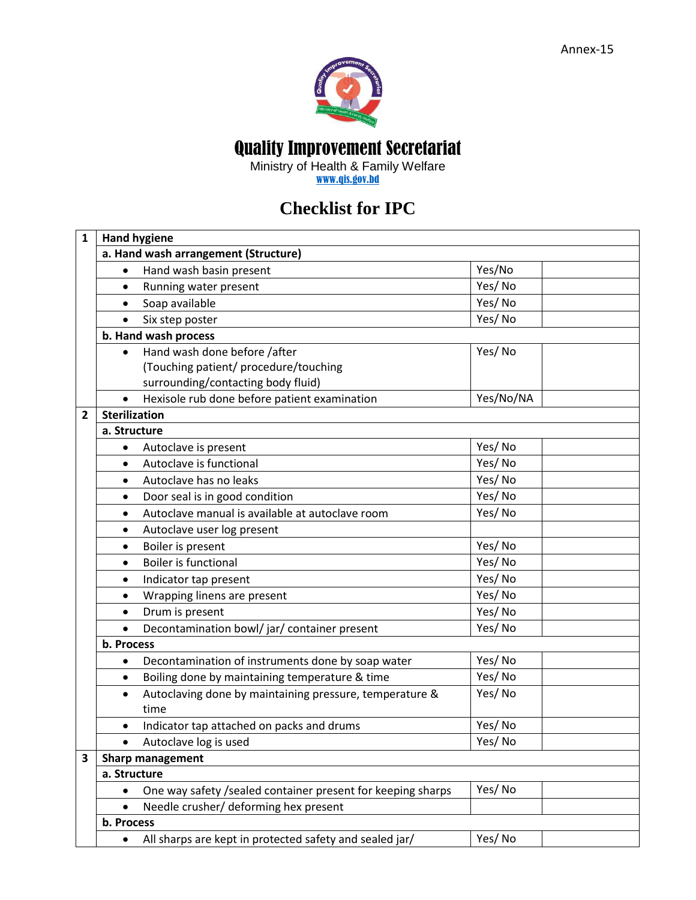

## Quality Improvement Secretariat

Ministry of Health & Family Welfare [www.qis.gov.bd](http://www.qis.gov.bd/)

## **Checklist for IPC**

| 1 | <b>Hand hygiene</b>                                                  |           |  |  |  |  |
|---|----------------------------------------------------------------------|-----------|--|--|--|--|
|   | a. Hand wash arrangement (Structure)                                 |           |  |  |  |  |
|   | Hand wash basin present<br>$\bullet$                                 | Yes/No    |  |  |  |  |
|   | Running water present<br>$\bullet$                                   | Yes/No    |  |  |  |  |
|   | Soap available<br>$\bullet$                                          | Yes/No    |  |  |  |  |
|   | Six step poster<br>$\bullet$                                         | Yes/No    |  |  |  |  |
|   | b. Hand wash process                                                 |           |  |  |  |  |
|   | Hand wash done before /after<br>$\bullet$                            | Yes/No    |  |  |  |  |
|   | (Touching patient/ procedure/touching                                |           |  |  |  |  |
|   | surrounding/contacting body fluid)                                   |           |  |  |  |  |
|   | Hexisole rub done before patient examination<br>$\bullet$            | Yes/No/NA |  |  |  |  |
| 2 | <b>Sterilization</b>                                                 |           |  |  |  |  |
|   | a. Structure                                                         |           |  |  |  |  |
|   | Autoclave is present<br>$\bullet$                                    | Yes/No    |  |  |  |  |
|   | Autoclave is functional<br>$\bullet$                                 | Yes/No    |  |  |  |  |
|   | Autoclave has no leaks<br>$\bullet$                                  | Yes/No    |  |  |  |  |
|   | Door seal is in good condition<br>$\bullet$                          | Yes/No    |  |  |  |  |
|   | Autoclave manual is available at autoclave room<br>$\bullet$         | Yes/No    |  |  |  |  |
|   | Autoclave user log present<br>٠                                      |           |  |  |  |  |
|   | Boiler is present<br>$\bullet$                                       | Yes/No    |  |  |  |  |
|   | <b>Boiler is functional</b><br>$\bullet$                             | Yes/No    |  |  |  |  |
|   | Indicator tap present<br>$\bullet$                                   | Yes/No    |  |  |  |  |
|   | Wrapping linens are present<br>$\bullet$                             | Yes/No    |  |  |  |  |
|   | Drum is present<br>$\bullet$                                         | Yes/No    |  |  |  |  |
|   | Decontamination bowl/jar/container present<br>$\bullet$              | Yes/No    |  |  |  |  |
|   | b. Process                                                           |           |  |  |  |  |
|   | Decontamination of instruments done by soap water<br>$\bullet$       | Yes/No    |  |  |  |  |
|   | Boiling done by maintaining temperature & time<br>$\bullet$          | Yes/No    |  |  |  |  |
|   | Autoclaving done by maintaining pressure, temperature &<br>$\bullet$ | Yes/No    |  |  |  |  |
|   | time                                                                 |           |  |  |  |  |
|   | Indicator tap attached on packs and drums<br>٠                       | Yes/No    |  |  |  |  |
|   | Autoclave log is used                                                | Yes/No    |  |  |  |  |
| 3 | <b>Sharp management</b>                                              |           |  |  |  |  |
|   | a. Structure                                                         |           |  |  |  |  |
|   | One way safety /sealed container present for keeping sharps          | Yes/No    |  |  |  |  |
|   | Needle crusher/ deforming hex present                                |           |  |  |  |  |
|   | b. Process                                                           |           |  |  |  |  |
|   | All sharps are kept in protected safety and sealed jar/<br>$\bullet$ | Yes/No    |  |  |  |  |